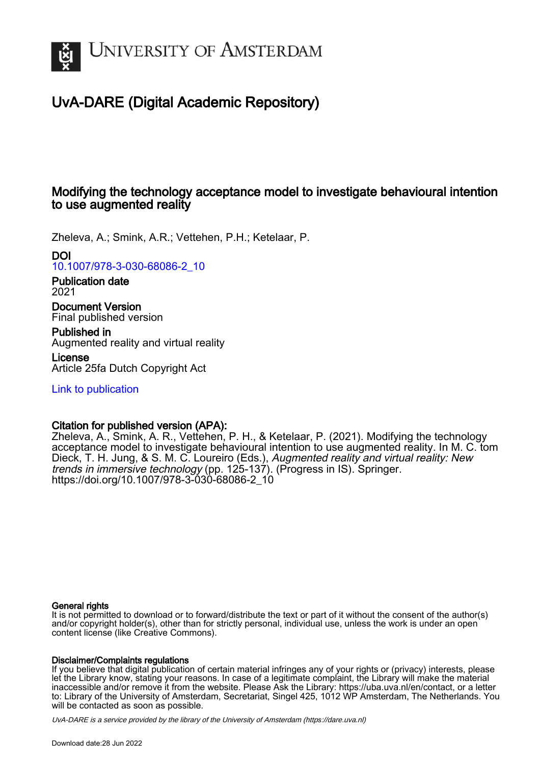

# UvA-DARE (Digital Academic Repository)

# Modifying the technology acceptance model to investigate behavioural intention to use augmented reality

Zheleva, A.; Smink, A.R.; Vettehen, P.H.; Ketelaar, P.

DOI

[10.1007/978-3-030-68086-2\\_10](https://doi.org/10.1007/978-3-030-68086-2_10)

Publication date 2021

Document Version Final published version

Published in Augmented reality and virtual reality

License Article 25fa Dutch Copyright Act

[Link to publication](https://dare.uva.nl/personal/pure/en/publications/modifying-the-technology-acceptance-model-to-investigate-behavioural-intention-to-use-augmented-reality(2f7ea5c4-f0d8-4646-b87c-fe832deef7f7).html)

# Citation for published version (APA):

Zheleva, A., Smink, A. R., Vettehen, P. H., & Ketelaar, P. (2021). Modifying the technology acceptance model to investigate behavioural intention to use augmented reality. In M. C. tom Dieck, T. H. Jung, & S. M. C. Loureiro (Eds.), Augmented reality and virtual reality: New trends in immersive technology (pp. 125-137). (Progress in IS). Springer. [https://doi.org/10.1007/978-3-030-68086-2\\_10](https://doi.org/10.1007/978-3-030-68086-2_10)

# General rights

It is not permitted to download or to forward/distribute the text or part of it without the consent of the author(s) and/or copyright holder(s), other than for strictly personal, individual use, unless the work is under an open content license (like Creative Commons).

# Disclaimer/Complaints regulations

If you believe that digital publication of certain material infringes any of your rights or (privacy) interests, please let the Library know, stating your reasons. In case of a legitimate complaint, the Library will make the material inaccessible and/or remove it from the website. Please Ask the Library: https://uba.uva.nl/en/contact, or a letter to: Library of the University of Amsterdam, Secretariat, Singel 425, 1012 WP Amsterdam, The Netherlands. You will be contacted as soon as possible.

UvA-DARE is a service provided by the library of the University of Amsterdam (http*s*://dare.uva.nl)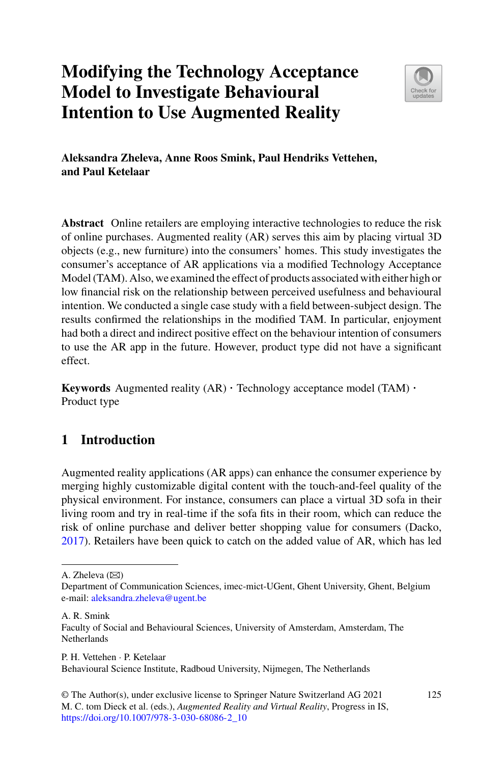# **Modifying the Technology Acceptance Model to Investigate Behavioural Intention to Use Augmented Reality**



**Aleksandra Zheleva, Anne Roos Smink, Paul Hendriks Vettehen, and Paul Ketelaar**

**Abstract** Online retailers are employing interactive technologies to reduce the risk of online purchases. Augmented reality (AR) serves this aim by placing virtual 3D objects (e.g., new furniture) into the consumers' homes. This study investigates the consumer's acceptance of AR applications via a modified Technology Acceptance Model (TAM). Also, we examined the effect of products associated with either high or low financial risk on the relationship between perceived usefulness and behavioural intention. We conducted a single case study with a field between-subject design. The results confirmed the relationships in the modified TAM. In particular, enjoyment had both a direct and indirect positive effect on the behaviour intention of consumers to use the AR app in the future. However, product type did not have a significant effect.

**Keywords** Augmented reality (AR) · Technology acceptance model (TAM) · Product type

# **1 Introduction**

Augmented reality applications (AR apps) can enhance the consumer experience by merging highly customizable digital content with the touch-and-feel quality of the physical environment. For instance, consumers can place a virtual 3D sofa in their living room and try in real-time if the sofa fits in their room, which can reduce the risk of online purchase and deliver better shopping value for consumers (Dacko, [2017\)](#page-12-0). Retailers have been quick to catch on the added value of AR, which has led

A. Zheleva  $(\boxtimes)$ 

A. R. Smink

P. H. Vettehen · P. Ketelaar Behavioural Science Institute, Radboud University, Nijmegen, The Netherlands

© The Author(s), under exclusive license to Springer Nature Switzerland AG 2021 M. C. tom Dieck et al. (eds.), *Augmented Reality and Virtual Reality*, Progress in IS, [https://doi.org/10.1007/978-3-030-68086-2\\_10](https://doi.org/10.1007/978-3-030-68086-2_10)

125

Department of Communication Sciences, imec-mict-UGent, Ghent University, Ghent, Belgium e-mail: [aleksandra.zheleva@ugent.be](mailto:aleksandra.zheleva@ugent.be)

Faculty of Social and Behavioural Sciences, University of Amsterdam, Amsterdam, The **Netherlands**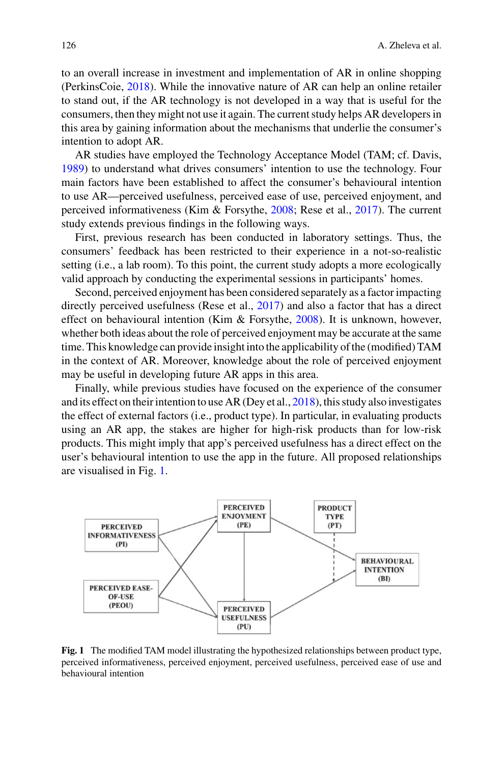to an overall increase in investment and implementation of AR in online shopping (PerkinsCoie, [2018\)](#page-12-1). While the innovative nature of AR can help an online retailer to stand out, if the AR technology is not developed in a way that is useful for the consumers, then they might not use it again. The current study helps AR developers in this area by gaining information about the mechanisms that underlie the consumer's intention to adopt AR.

AR studies have employed the Technology Acceptance Model (TAM; cf. Davis, [1989\)](#page-12-2) to understand what drives consumers' intention to use the technology. Four main factors have been established to affect the consumer's behavioural intention to use AR—perceived usefulness, perceived ease of use, perceived enjoyment, and perceived informativeness (Kim & Forsythe, [2008;](#page-12-3) Rese et al., [2017\)](#page-12-4). The current study extends previous findings in the following ways.

First, previous research has been conducted in laboratory settings. Thus, the consumers' feedback has been restricted to their experience in a not-so-realistic setting (i.e., a lab room). To this point, the current study adopts a more ecologically valid approach by conducting the experimental sessions in participants' homes.

Second, perceived enjoyment has been considered separately as a factor impacting directly perceived usefulness (Rese et al., [2017\)](#page-12-4) and also a factor that has a direct effect on behavioural intention (Kim & Forsythe, [2008\)](#page-12-3). It is unknown, however, whether both ideas about the role of perceived enjoyment may be accurate at the same time. This knowledge can provide insight into the applicability of the (modified) TAM in the context of AR. Moreover, knowledge about the role of perceived enjoyment may be useful in developing future AR apps in this area.

Finally, while previous studies have focused on the experience of the consumer and its effect on their intention to use AR (Dey et al., [2018\)](#page-12-5), this study also investigates the effect of external factors (i.e., product type). In particular, in evaluating products using an AR app, the stakes are higher for high-risk products than for low-risk products. This might imply that app's perceived usefulness has a direct effect on the user's behavioural intention to use the app in the future. All proposed relationships are visualised in Fig. [1.](#page-2-0)



<span id="page-2-0"></span>**Fig. 1** The modified TAM model illustrating the hypothesized relationships between product type, perceived informativeness, perceived enjoyment, perceived usefulness, perceived ease of use and behavioural intention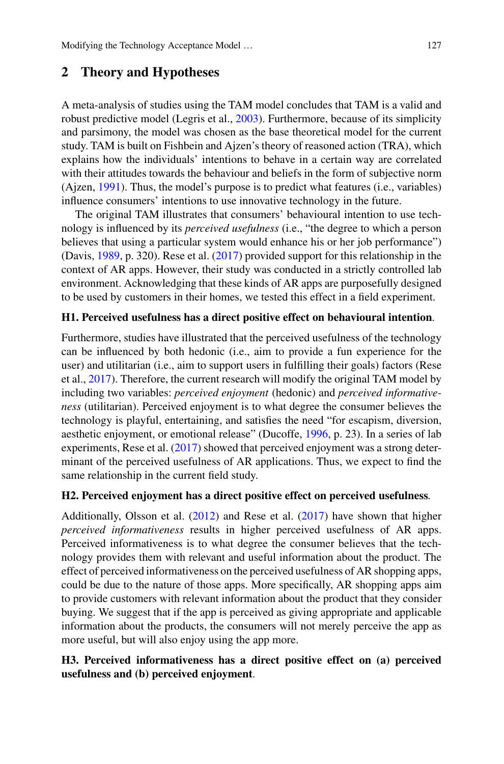# **2 Theory and Hypotheses**

A meta-analysis of studies using the TAM model concludes that TAM is a valid and robust predictive model (Legris et al., [2003\)](#page-12-6). Furthermore, because of its simplicity and parsimony, the model was chosen as the base theoretical model for the current study. TAM is built on Fishbein and Ajzen's theory of reasoned action (TRA), which explains how the individuals' intentions to behave in a certain way are correlated with their attitudes towards the behaviour and beliefs in the form of subjective norm (Ajzen, [1991\)](#page-11-0). Thus, the model's purpose is to predict what features (i.e., variables) influence consumers' intentions to use innovative technology in the future.

The original TAM illustrates that consumers' behavioural intention to use technology is influenced by its *perceived usefulness* (i.e., "the degree to which a person believes that using a particular system would enhance his or her job performance") (Davis, [1989,](#page-12-2) p. 320). Rese et al. [\(2017\)](#page-12-4) provided support for this relationship in the context of AR apps. However, their study was conducted in a strictly controlled lab environment. Acknowledging that these kinds of AR apps are purposefully designed to be used by customers in their homes, we tested this effect in a field experiment.

#### **H1. Perceived usefulness has a direct positive effect on behavioural intention**.

Furthermore, studies have illustrated that the perceived usefulness of the technology can be influenced by both hedonic (i.e., aim to provide a fun experience for the user) and utilitarian (i.e., aim to support users in fulfilling their goals) factors (Rese et al., [2017\)](#page-12-4). Therefore, the current research will modify the original TAM model by including two variables: *perceived enjoyment* (hedonic) and *perceived informativeness* (utilitarian). Perceived enjoyment is to what degree the consumer believes the technology is playful, entertaining, and satisfies the need "for escapism, diversion, aesthetic enjoyment, or emotional release" (Ducoffe, [1996,](#page-12-7) p. 23). In a series of lab experiments, Rese et al. [\(2017\)](#page-12-4) showed that perceived enjoyment was a strong determinant of the perceived usefulness of AR applications. Thus, we expect to find the same relationship in the current field study.

#### **H2. Perceived enjoyment has a direct positive effect on perceived usefulness**.

Additionally, Olsson et al. [\(2012\)](#page-12-8) and Rese et al. [\(2017\)](#page-12-4) have shown that higher *perceived informativeness* results in higher perceived usefulness of AR apps. Perceived informativeness is to what degree the consumer believes that the technology provides them with relevant and useful information about the product. The effect of perceived informativeness on the perceived usefulness of AR shopping apps, could be due to the nature of those apps. More specifically, AR shopping apps aim to provide customers with relevant information about the product that they consider buying. We suggest that if the app is perceived as giving appropriate and applicable information about the products, the consumers will not merely perceive the app as more useful, but will also enjoy using the app more.

### **H3. Perceived informativeness has a direct positive effect on (a) perceived usefulness and (b) perceived enjoyment**.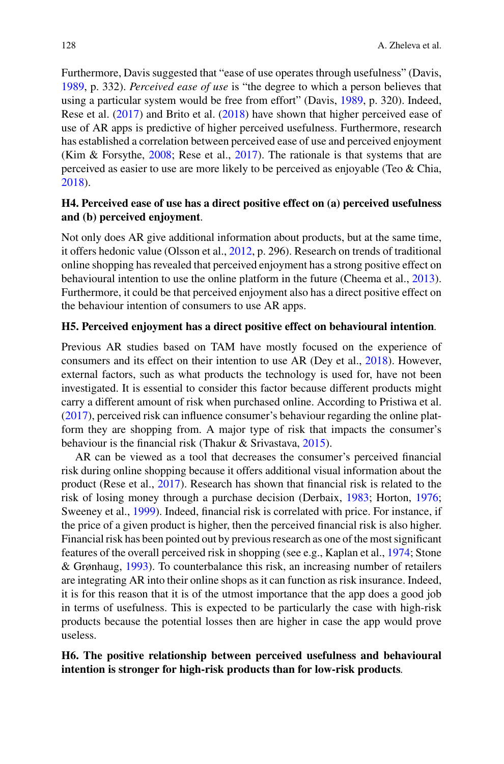Furthermore, Davis suggested that "ease of use operates through usefulness" (Davis, [1989,](#page-12-2) p. 332). *Perceived ease of use* is "the degree to which a person believes that using a particular system would be free from effort" (Davis, [1989,](#page-12-2) p. 320). Indeed, Rese et al. [\(2017\)](#page-12-4) and Brito et al. [\(2018\)](#page-12-9) have shown that higher perceived ease of use of AR apps is predictive of higher perceived usefulness. Furthermore, research has established a correlation between perceived ease of use and perceived enjoyment (Kim & Forsythe, [2008;](#page-12-3) Rese et al., [2017\)](#page-12-4). The rationale is that systems that are perceived as easier to use are more likely to be perceived as enjoyable (Teo & Chia, [2018\)](#page-13-0).

#### **H4. Perceived ease of use has a direct positive effect on (a) perceived usefulness and (b) perceived enjoyment**.

Not only does AR give additional information about products, but at the same time, it offers hedonic value (Olsson et al., [2012,](#page-12-8) p. 296). Research on trends of traditional online shopping has revealed that perceived enjoyment has a strong positive effect on behavioural intention to use the online platform in the future (Cheema et al., [2013\)](#page-12-10). Furthermore, it could be that perceived enjoyment also has a direct positive effect on the behaviour intention of consumers to use AR apps.

#### **H5. Perceived enjoyment has a direct positive effect on behavioural intention**.

Previous AR studies based on TAM have mostly focused on the experience of consumers and its effect on their intention to use AR (Dey et al., [2018\)](#page-12-5). However, external factors, such as what products the technology is used for, have not been investigated. It is essential to consider this factor because different products might carry a different amount of risk when purchased online. According to Pristiwa et al. [\(2017\)](#page-12-11), perceived risk can influence consumer's behaviour regarding the online platform they are shopping from. A major type of risk that impacts the consumer's behaviour is the financial risk (Thakur & Srivastava, [2015\)](#page-13-1).

AR can be viewed as a tool that decreases the consumer's perceived financial risk during online shopping because it offers additional visual information about the product (Rese et al., [2017\)](#page-12-4). Research has shown that financial risk is related to the risk of losing money through a purchase decision (Derbaix, [1983;](#page-12-12) Horton, [1976;](#page-12-13) Sweeney et al., [1999\)](#page-12-14). Indeed, financial risk is correlated with price. For instance, if the price of a given product is higher, then the perceived financial risk is also higher. Financial risk has been pointed out by previous research as one of the most significant features of the overall perceived risk in shopping (see e.g., Kaplan et al., [1974;](#page-12-15) Stone & Grønhaug, [1993\)](#page-12-16). To counterbalance this risk, an increasing number of retailers are integrating AR into their online shops as it can function as risk insurance. Indeed, it is for this reason that it is of the utmost importance that the app does a good job in terms of usefulness. This is expected to be particularly the case with high-risk products because the potential losses then are higher in case the app would prove useless.

**H6. The positive relationship between perceived usefulness and behavioural intention is stronger for high-risk products than for low-risk products**.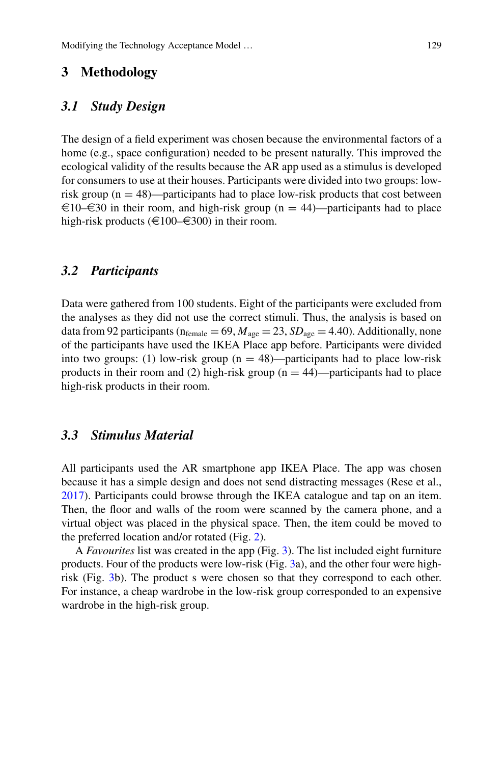# **3 Methodology**

#### *3.1 Study Design*

The design of a field experiment was chosen because the environmental factors of a home (e.g., space configuration) needed to be present naturally. This improved the ecological validity of the results because the AR app used as a stimulus is developed for consumers to use at their houses. Participants were divided into two groups: lowrisk group ( $n = 48$ )—participants had to place low-risk products that cost between  $\epsilon$ 10– $\epsilon$ 30 in their room, and high-risk group (n = 44)—participants had to place high-risk products ( $\text{ } \in 100 - \text{ } \in 300$ ) in their room.

#### *3.2 Participants*

Data were gathered from 100 students. Eight of the participants were excluded from the analyses as they did not use the correct stimuli. Thus, the analysis is based on data from 92 participants ( $n_{\text{female}} = 69$ ,  $M_{\text{age}} = 23$ ,  $SD_{\text{age}} = 4.40$ ). Additionally, none of the participants have used the IKEA Place app before. Participants were divided into two groups: (1) low-risk group ( $n = 48$ )—participants had to place low-risk products in their room and (2) high-risk group ( $n = 44$ )—participants had to place high-risk products in their room.

# *3.3 Stimulus Material*

All participants used the AR smartphone app IKEA Place. The app was chosen because it has a simple design and does not send distracting messages (Rese et al., [2017\)](#page-12-4). Participants could browse through the IKEA catalogue and tap on an item. Then, the floor and walls of the room were scanned by the camera phone, and a virtual object was placed in the physical space. Then, the item could be moved to the preferred location and/or rotated (Fig. [2\)](#page-6-0).

A *Favourites* list was created in the app (Fig. [3\)](#page-6-1). The list included eight furniture products. Four of the products were low-risk (Fig. [3a](#page-6-1)), and the other four were highrisk (Fig. [3b](#page-6-1)). The product s were chosen so that they correspond to each other. For instance, a cheap wardrobe in the low-risk group corresponded to an expensive wardrobe in the high-risk group.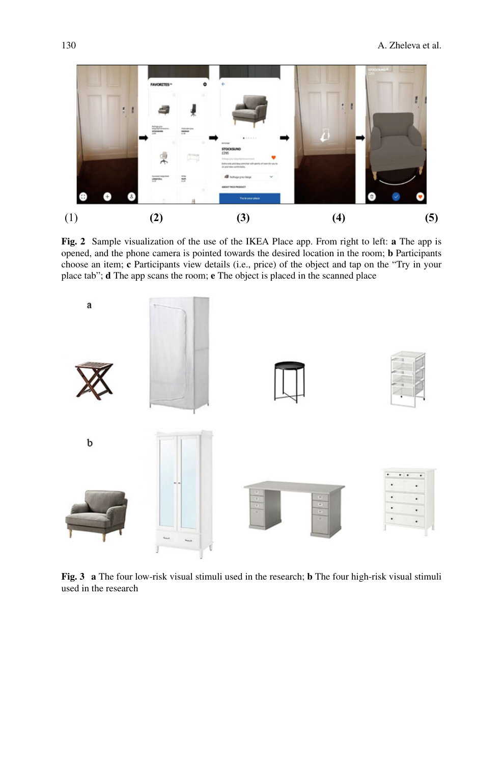

<span id="page-6-0"></span>**Fig. 2** Sample visualization of the use of the IKEA Place app. From right to left: **a** The app is opened, and the phone camera is pointed towards the desired location in the room; **b** Participants choose an item; **c** Participants view details (i.e., price) of the object and tap on the "Try in your place tab"; **d** The app scans the room; **e** The object is placed in the scanned place



<span id="page-6-1"></span>**Fig. 3 a** The four low-risk visual stimuli used in the research; **b** The four high-risk visual stimuli used in the research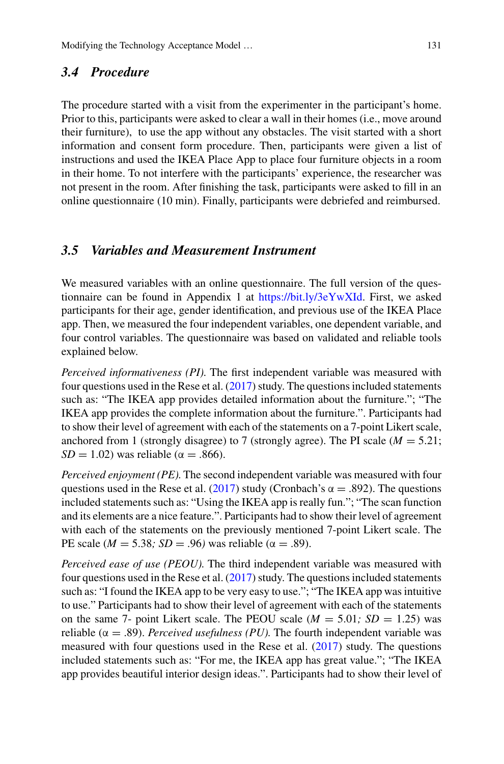# *3.4 Procedure*

The procedure started with a visit from the experimenter in the participant's home. Prior to this, participants were asked to clear a wall in their homes (i.e., move around their furniture), to use the app without any obstacles. The visit started with a short information and consent form procedure. Then, participants were given a list of instructions and used the IKEA Place App to place four furniture objects in a room in their home. To not interfere with the participants' experience, the researcher was not present in the room. After finishing the task, participants were asked to fill in an online questionnaire (10 min). Finally, participants were debriefed and reimbursed.

# *3.5 Variables and Measurement Instrument*

We measured variables with an online questionnaire. The full version of the questionnaire can be found in Appendix 1 at [https://bit.ly/3eYwXId.](https://bit.ly/3eYwXId) First, we asked participants for their age, gender identification, and previous use of the IKEA Place app. Then, we measured the four independent variables, one dependent variable, and four control variables. The questionnaire was based on validated and reliable tools explained below.

*Perceived informativeness (PI)*. The first independent variable was measured with four questions used in the Rese et al. [\(2017\)](#page-12-4) study. The questions included statements such as: "The IKEA app provides detailed information about the furniture."; "The IKEA app provides the complete information about the furniture.". Participants had to show their level of agreement with each of the statements on a 7-point Likert scale, anchored from 1 (strongly disagree) to 7 (strongly agree). The PI scale ( $M = 5.21$ ; *SD* = 1.02) was reliable ( $\alpha$  = .866).

*Perceived enjoyment (PE)*. The second independent variable was measured with four questions used in the Rese et al. [\(2017\)](#page-12-4) study (Cronbach's  $\alpha = .892$ ). The questions included statements such as: "Using the IKEA app is really fun."; "The scan function and its elements are a nice feature.". Participants had to show their level of agreement with each of the statements on the previously mentioned 7-point Likert scale. The PE scale (*M* = 5.38*; SD* = .96*)* was reliable (α = .89).

*Perceived ease of use (PEOU)*. The third independent variable was measured with four questions used in the Rese et al. [\(2017\)](#page-12-4) study. The questions included statements such as: "I found the IKEA app to be very easy to use."; "The IKEA app was intuitive to use." Participants had to show their level of agreement with each of the statements on the same 7- point Likert scale. The PEOU scale  $(M = 5.01; SD = 1.25)$  was reliable ( $\alpha = .89$ ). *Perceived usefulness (PU)*. The fourth independent variable was measured with four questions used in the Rese et al. [\(2017\)](#page-12-4) study. The questions included statements such as: "For me, the IKEA app has great value."; "The IKEA app provides beautiful interior design ideas.". Participants had to show their level of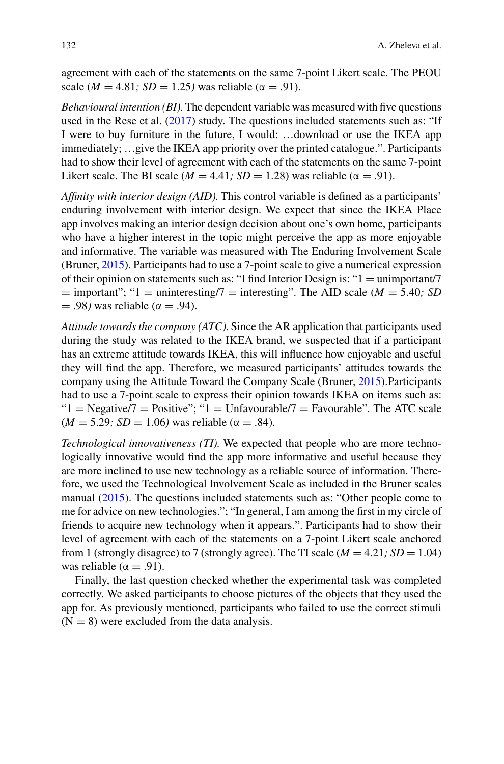agreement with each of the statements on the same 7-point Likert scale. The PEOU scale ( $M = 4.81$ ;  $SD = 1.25$ ) was reliable ( $\alpha = .91$ ).

*Behavioural intention (BI)*. The dependent variable was measured with five questions used in the Rese et al. [\(2017\)](#page-12-4) study. The questions included statements such as: "If I were to buy furniture in the future, I would: …download or use the IKEA app immediately; …give the IKEA app priority over the printed catalogue.". Participants had to show their level of agreement with each of the statements on the same 7-point Likert scale. The BI scale ( $M = 4.41$ ;  $SD = 1.28$ ) was reliable ( $\alpha = .91$ ).

*Affinity with interior design (AID)*. This control variable is defined as a participants' enduring involvement with interior design. We expect that since the IKEA Place app involves making an interior design decision about one's own home, participants who have a higher interest in the topic might perceive the app as more enjoyable and informative. The variable was measured with The Enduring Involvement Scale (Bruner, [2015\)](#page-12-17). Participants had to use a 7-point scale to give a numerical expression of their opinion on statements such as: "I find Interior Design is: " $1 =$  unimportant/7  $=$  important"; "1 = uninteresting/7 = interesting". The AID scale ( $M = 5.40$ ; SD  $= .98$ *)* was reliable ( $\alpha = .94$ ).

*Attitude towards the company (ATC)*. Since the AR application that participants used during the study was related to the IKEA brand, we suspected that if a participant has an extreme attitude towards IKEA, this will influence how enjoyable and useful they will find the app. Therefore, we measured participants' attitudes towards the company using the Attitude Toward the Company Scale (Bruner, [2015\)](#page-12-17).Participants had to use a 7-point scale to express their opinion towards IKEA on items such as: " $1 = Negative/7 = Positive$ "; " $1 = Unfavourable/7 = Favourable$ ". The ATC scale ( $M = 5.29$ ;  $SD = 1.06$ ) was reliable ( $\alpha = .84$ ).

*Technological innovativeness (TI)*. We expected that people who are more technologically innovative would find the app more informative and useful because they are more inclined to use new technology as a reliable source of information. Therefore, we used the Technological Involvement Scale as included in the Bruner scales manual [\(2015\)](#page-12-17). The questions included statements such as: "Other people come to me for advice on new technologies."; "In general, I am among the first in my circle of friends to acquire new technology when it appears.". Participants had to show their level of agreement with each of the statements on a 7-point Likert scale anchored from 1 (strongly disagree) to 7 (strongly agree). The TI scale ( $M = 4.21$ ;  $SD = 1.04$ ) was reliable ( $\alpha = .91$ ).

Finally, the last question checked whether the experimental task was completed correctly. We asked participants to choose pictures of the objects that they used the app for. As previously mentioned, participants who failed to use the correct stimuli  $(N = 8)$  were excluded from the data analysis.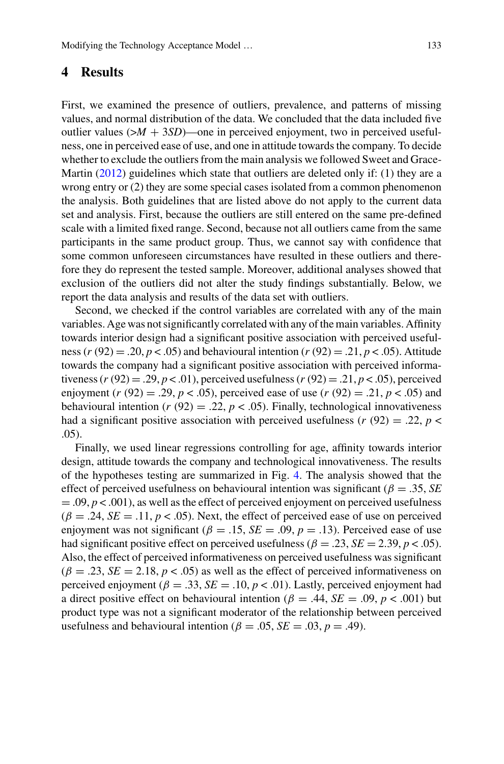### **4 Results**

First, we examined the presence of outliers, prevalence, and patterns of missing values, and normal distribution of the data. We concluded that the data included five outlier values  $(>M + 3SD)$ —one in perceived enjoyment, two in perceived usefulness, one in perceived ease of use, and one in attitude towards the company. To decide whether to exclude the outliers from the main analysis we followed Sweet and Grace-Martin  $(2012)$  guidelines which state that outliers are deleted only if: (1) they are a wrong entry or (2) they are some special cases isolated from a common phenomenon the analysis. Both guidelines that are listed above do not apply to the current data set and analysis. First, because the outliers are still entered on the same pre-defined scale with a limited fixed range. Second, because not all outliers came from the same participants in the same product group. Thus, we cannot say with confidence that some common unforeseen circumstances have resulted in these outliers and therefore they do represent the tested sample. Moreover, additional analyses showed that exclusion of the outliers did not alter the study findings substantially. Below, we report the data analysis and results of the data set with outliers.

Second, we checked if the control variables are correlated with any of the main variables. Age was not significantly correlated with any of the main variables. Affinity towards interior design had a significant positive association with perceived usefulness ( $r(92) = .20, p < .05$ ) and behavioural intention ( $r(92) = .21, p < .05$ ). Attitude towards the company had a significant positive association with perceived informativeness  $(r(92) = .29, p < .01)$ , perceived usefulness  $(r(92) = .21, p < .05)$ , perceived enjoyment (*r* (92) = .29, *p* < .05), perceived ease of use (*r* (92) = .21, *p* < .05) and behavioural intention ( $r$  (92) = .22,  $p$  < .05). Finally, technological innovativeness had a significant positive association with perceived usefulness ( $r$  (92) = .22,  $p$  < .05).

Finally, we used linear regressions controlling for age, affinity towards interior design, attitude towards the company and technological innovativeness. The results of the hypotheses testing are summarized in Fig. [4.](#page-10-0) The analysis showed that the effect of perceived usefulness on behavioural intention was significant ( $\beta = 0.35$ , *SE*)  $= .09, p < .001$ ), as well as the effect of perceived enjoyment on perceived usefulness  $(\beta = .24, SE = .11, p < .05)$ . Next, the effect of perceived ease of use on perceived enjoyment was not significant ( $\beta = .15$ ,  $SE = .09$ ,  $p = .13$ ). Perceived ease of use had significant positive effect on perceived usefulness ( $\beta = .23$ ,  $SE = 2.39$ ,  $p < .05$ ). Also, the effect of perceived informativeness on perceived usefulness was significant  $(\beta = .23, SE = 2.18, p < .05)$  as well as the effect of perceived informativeness on perceived enjoyment ( $\beta = .33$ ,  $SE = .10$ ,  $p < .01$ ). Lastly, perceived enjoyment had a direct positive effect on behavioural intention ( $\beta = .44$ ,  $SE = .09$ ,  $p < .001$ ) but product type was not a significant moderator of the relationship between perceived usefulness and behavioural intention ( $\beta = .05$ ,  $SE = .03$ ,  $p = .49$ ).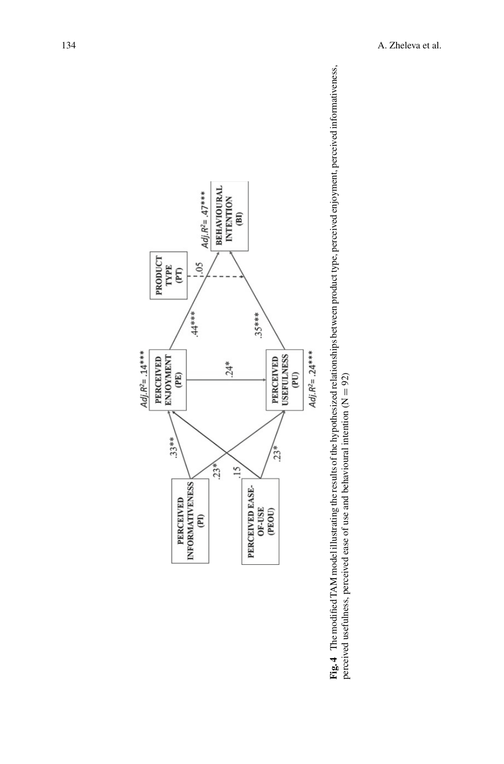<span id="page-10-0"></span>

Fig.4 The modified TAM model illustrating the results of the hypothesized relationships between product type, perceived enjoyment, perceived informativeness, **Fig. 4** The modified TAM model illustrating the results of the hypothesized relationships between product type, perceived enjoyment, perceived informativeness,<br>perceived usefulness, perceived ease of use and behavioural = 92)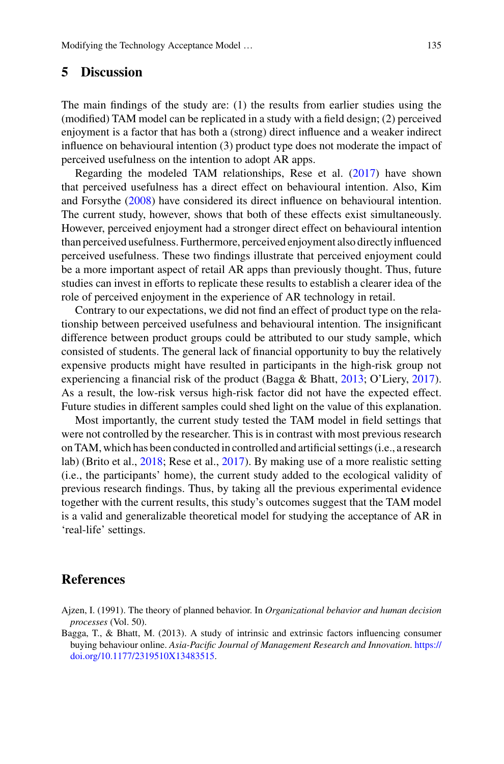# **5 Discussion**

The main findings of the study are: (1) the results from earlier studies using the (modified) TAM model can be replicated in a study with a field design; (2) perceived enjoyment is a factor that has both a (strong) direct influence and a weaker indirect influence on behavioural intention (3) product type does not moderate the impact of perceived usefulness on the intention to adopt AR apps.

Regarding the modeled TAM relationships, Rese et al. [\(2017\)](#page-12-4) have shown that perceived usefulness has a direct effect on behavioural intention. Also, Kim and Forsythe [\(2008\)](#page-12-3) have considered its direct influence on behavioural intention. The current study, however, shows that both of these effects exist simultaneously. However, perceived enjoyment had a stronger direct effect on behavioural intention than perceived usefulness. Furthermore, perceived enjoyment also directly influenced perceived usefulness. These two findings illustrate that perceived enjoyment could be a more important aspect of retail AR apps than previously thought. Thus, future studies can invest in efforts to replicate these results to establish a clearer idea of the role of perceived enjoyment in the experience of AR technology in retail.

Contrary to our expectations, we did not find an effect of product type on the relationship between perceived usefulness and behavioural intention. The insignificant difference between product groups could be attributed to our study sample, which consisted of students. The general lack of financial opportunity to buy the relatively expensive products might have resulted in participants in the high-risk group not experiencing a financial risk of the product (Bagga & Bhatt, [2013;](#page-11-1) O'Liery, [2017\)](#page-12-18). As a result, the low-risk versus high-risk factor did not have the expected effect. Future studies in different samples could shed light on the value of this explanation.

Most importantly, the current study tested the TAM model in field settings that were not controlled by the researcher. This is in contrast with most previous research on TAM, which has been conducted in controlled and artificial settings (i.e., a research lab) (Brito et al., [2018;](#page-12-9) Rese et al., [2017\)](#page-12-4). By making use of a more realistic setting (i.e., the participants' home), the current study added to the ecological validity of previous research findings. Thus, by taking all the previous experimental evidence together with the current results, this study's outcomes suggest that the TAM model is a valid and generalizable theoretical model for studying the acceptance of AR in 'real-life' settings.

# **References**

- <span id="page-11-0"></span>Ajzen, I. (1991). The theory of planned behavior. In *Organizational behavior and human decision processes* (Vol. 50).
- <span id="page-11-1"></span>Bagga, T., & Bhatt, M. (2013). A study of intrinsic and extrinsic factors influencing consumer buying behaviour online. *[Asia-Pacific Journal of Management Research and Innovation](https://doi.org/10.1177/2319510X13483515)*. https:// doi.org/10.1177/2319510X13483515.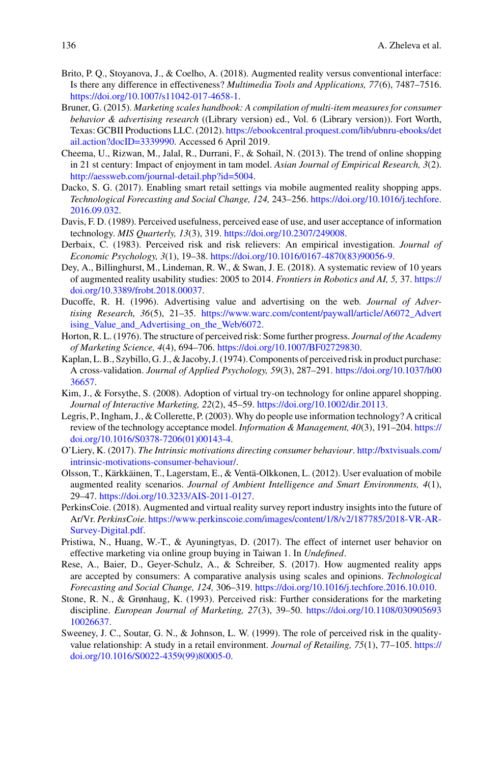- <span id="page-12-9"></span>Brito, P. O., Stoyanova, J., & Coelho, A. (2018). Augmented reality versus conventional interface: Is there any difference in effectiveness? *Multimedia Tools and Applications, 77*(6), 7487–7516. [https://doi.org/10.1007/s11042-017-4658-1.](https://doi.org/10.1007/s11042-017-4658-1)
- <span id="page-12-17"></span>Bruner, G. (2015). *Marketing scales handbook: A compilation of multi-item measures for consumer behavior & advertising research* ((Library version) ed., Vol. 6 (Library version)). Fort Worth, Texas: GCBII Productions LLC. (2012). [https://ebookcentral.proquest.com/lib/ubnru-ebooks/det](https://ebookcentral.proquest.com/lib/ubnru-ebooks/detail.action?docID=3339990) ail.action?docID=3339990. Accessed 6 April 2019.
- <span id="page-12-10"></span>Cheema, U., Rizwan, M., Jalal, R., Durrani, F., & Sohail, N. (2013). The trend of online shopping in 21 st century: Impact of enjoyment in tam model. *Asian Journal of Empirical Research, 3*(2). [http://aessweb.com/journal-detail.php?id=5004.](http://aessweb.com/journal-detail.php%3fid%3d5004)
- <span id="page-12-0"></span>Dacko, S. G. (2017). Enabling smart retail settings via mobile augmented reality shopping apps. *[Technological Forecasting and Social Change, 124,](https://doi.org/10.1016/j.techfore.2016.09.032)* 243–256. https://doi.org/10.1016/j.techfore. 2016.09.032.
- <span id="page-12-2"></span>Davis, F. D. (1989). Perceived usefulness, perceived ease of use, and user acceptance of information technology. *MIS Quarterly, 13*(3), 319. [https://doi.org/10.2307/249008.](https://doi.org/10.2307/249008)
- <span id="page-12-12"></span>Derbaix, C. (1983). Perceived risk and risk relievers: An empirical investigation. *Journal of Economic Psychology, 3*(1), 19–38. [https://doi.org/10.1016/0167-4870\(83\)90056-9.](https://doi.org/10.1016/0167-4870(83)90056-9)
- <span id="page-12-5"></span>Dey, A., Billinghurst, M., Lindeman, R. W., & Swan, J. E. (2018). A systematic review of 10 years [of augmented reality usability studies: 2005 to 2014.](https://doi.org/10.3389/frobt.2018.00037) *Frontiers in Robotics and AI, 5,* 37. https:// doi.org/10.3389/frobt.2018.00037.
- <span id="page-12-7"></span>Ducoffe, R. H. (1996). Advertising value and advertising on the web. *Journal of Advertising Research*, *36*(5), 21–35. [https://www.warc.com/content/paywall/article/A6072\\_Advert](https://www.warc.com/content/paywall/article/A6072_Advertising_Value_and_Advertising_on_the_Web/6072) ising\_Value\_and\_Advertising\_on\_the\_Web/6072.
- <span id="page-12-13"></span>Horton, R. L. (1976). The structure of perceived risk: Some further progress. *Journal of the Academy of Marketing Science, 4*(4), 694–706. [https://doi.org/10.1007/BF02729830.](https://doi.org/10.1007/BF02729830)
- <span id="page-12-15"></span>Kaplan, L. B., Szybillo, G. J., & Jacoby, J. (1974). Components of perceived risk in product purchase: A cross-validation. *[Journal of Applied Psychology, 59](https://doi.org/10.1037/h0036657)*(3), 287–291. https://doi.org/10.1037/h00 36657.
- <span id="page-12-3"></span>Kim, J., & Forsythe, S. (2008). Adoption of virtual try-on technology for online apparel shopping. *Journal of Interactive Marketing, 22*(2), 45–59. [https://doi.org/10.1002/dir.20113.](https://doi.org/10.1002/dir.20113)
- <span id="page-12-6"></span>Legris, P., Ingham, J., & Collerette, P. (2003). Why do people use information technology? A critical [review of the technology acceptance model.](https://doi.org/10.1016/S0378-7206(01)00143-4) *Information & Management, 40*(3), 191–204. https:// doi.org/10.1016/S0378-7206(01)00143-4.
- <span id="page-12-18"></span>O'Liery, K. (2017). *[The Intrinsic motivations directing consumer behaviour](http://bxtvisuals.com/intrinsic-motivations-consumer-behaviour/)*. http://bxtvisuals.com/ intrinsic-motivations-consumer-behaviour/.
- <span id="page-12-8"></span>Olsson, T., Kärkkäinen, T., Lagerstam, E., & Ventä-Olkkonen, L. (2012). User evaluation of mobile augmented reality scenarios. *Journal of Ambient Intelligence and Smart Environments, 4*(1), 29–47. [https://doi.org/10.3233/AIS-2011-0127.](https://doi.org/10.3233/AIS-2011-0127)
- <span id="page-12-1"></span>PerkinsCoie. (2018). Augmented and virtual reality survey report industry insights into the future of Ar/Vr. *PerkinsCoie*. [https://www.perkinscoie.com/images/content/1/8/v2/187785/2018-VR-AR-](https://www.perkinscoie.com/images/content/1/8/v2/187785/2018-VR-AR-Survey-Digital.pdf)Survey-Digital.pdf.
- <span id="page-12-11"></span>Pristiwa, N., Huang, W.-T., & Ayuningtyas, D. (2017). The effect of internet user behavior on effective marketing via online group buying in Taiwan 1. In *Undefined*.
- <span id="page-12-4"></span>Rese, A., Baier, D., Geyer-Schulz, A., & Schreiber, S. (2017). How augmented reality apps are accepted by consumers: A comparative analysis using scales and opinions. *Technological Forecasting and Social Change, 124,* 306–319. [https://doi.org/10.1016/j.techfore.2016.10.010.](https://doi.org/10.1016/j.techfore.2016.10.010)
- <span id="page-12-16"></span>Stone, R. N., & Grønhaug, K. (1993). Perceived risk: Further considerations for the marketing discipline. *[European Journal of Marketing, 27](https://doi.org/10.1108/03090569310026637)*(3), 39–50. https://doi.org/10.1108/030905693 10026637.
- <span id="page-12-14"></span>Sweeney, J. C., Soutar, G. N., & Johnson, L. W. (1999). The role of perceived risk in the quality[value relationship: A study in a retail environment.](https://doi.org/10.1016/S0022-4359(99)80005-0) *Journal of Retailing, 75*(1), 77–105. https:// doi.org/10.1016/S0022-4359(99)80005-0.